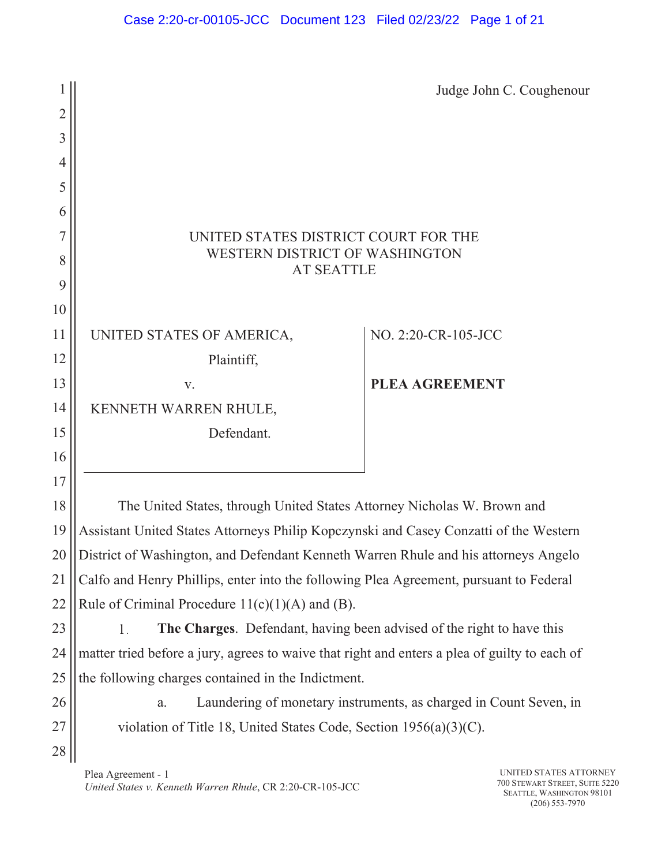|                |                                                                                               | Judge John C. Coughenour |  |
|----------------|-----------------------------------------------------------------------------------------------|--------------------------|--|
| $\overline{2}$ |                                                                                               |                          |  |
| $\overline{3}$ |                                                                                               |                          |  |
| 4              |                                                                                               |                          |  |
| 5              |                                                                                               |                          |  |
| 6              |                                                                                               |                          |  |
| $\overline{7}$ | UNITED STATES DISTRICT COURT FOR THE                                                          |                          |  |
| 8              | WESTERN DISTRICT OF WASHINGTON<br><b>AT SEATTLE</b>                                           |                          |  |
| 9              |                                                                                               |                          |  |
| 10             |                                                                                               |                          |  |
| 11             | UNITED STATES OF AMERICA,                                                                     | NO. 2:20-CR-105-JCC      |  |
| 12             | Plaintiff,                                                                                    |                          |  |
| 13             | V.                                                                                            | <b>PLEA AGREEMENT</b>    |  |
| 14             | KENNETH WARREN RHULE,                                                                         |                          |  |
| 15             | Defendant.                                                                                    |                          |  |
| 16             |                                                                                               |                          |  |
| 17             |                                                                                               |                          |  |
| 18             | The United States, through United States Attorney Nicholas W. Brown and                       |                          |  |
| 19             | Assistant United States Attorneys Philip Kopczynski and Casey Conzatti of the Western         |                          |  |
| 20             | District of Washington, and Defendant Kenneth Warren Rhule and his attorneys Angelo           |                          |  |
| 21             | Calfo and Henry Phillips, enter into the following Plea Agreement, pursuant to Federal        |                          |  |
| 22             | Rule of Criminal Procedure $11(c)(1)(A)$ and (B).                                             |                          |  |
| 23             | The Charges. Defendant, having been advised of the right to have this<br>1.                   |                          |  |
| 24             | matter tried before a jury, agrees to waive that right and enters a plea of guilty to each of |                          |  |
| 25             | the following charges contained in the Indictment.                                            |                          |  |
| 26             | Laundering of monetary instruments, as charged in Count Seven, in<br>a.                       |                          |  |
| 27             | violation of Title 18, United States Code, Section 1956(a)(3)(C).                             |                          |  |
| 28             |                                                                                               |                          |  |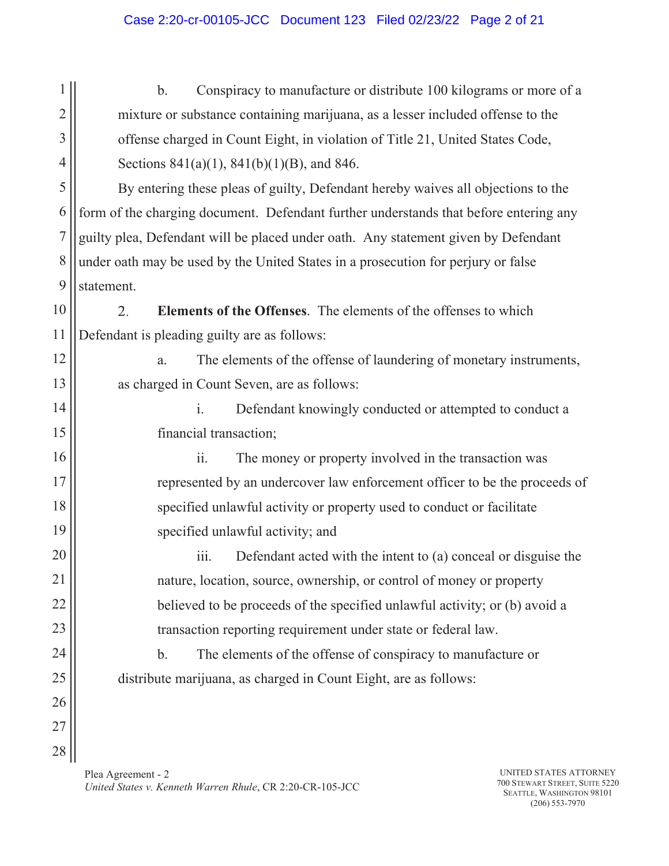1 b. Conspiracy to manufacture or distribute 100 kilograms or more of a 2 mixture or substance containing marijuana, as a lesser included offense to the 3 offense charged in Count Eight, in violation of Title 21, United States Code, 4 Sections 841(a)(1), 841(b)(1)(B), and 846. 5 By entering these pleas of guilty, Defendant hereby waives all objections to the 6 form of the charging document. Defendant further understands that before entering any 7 guilty plea, Defendant will be placed under oath. Any statement given by Defendant 8 under oath may be used by the United States in a prosecution for perjury or false 9 statement. 10 **Elements of the Offenses**. The elements of the offenses to which  $2<sub>1</sub>$ Defendant is pleading guilty are as follows: 11 12 a. The elements of the offense of laundering of monetary instruments, 13 as charged in Count Seven, are as follows: 14 i. Defendant knowingly conducted or attempted to conduct a 15 financial transaction; 16 ii. The money or property involved in the transaction was 17 represented by an undercover law enforcement officer to be the proceeds of 18 specified unlawful activity or property used to conduct or facilitate 19 specified unlawful activity; and 20 iii. Defendant acted with the intent to (a) conceal or disguise the 21 nature, location, source, ownership, or control of money or property 22 believed to be proceeds of the specified unlawful activity; or (b) avoid a 23 transaction reporting requirement under state or federal law. 24 b. The elements of the offense of conspiracy to manufacture or 25 distribute marijuana, as charged in Count Eight, are as follows: 26 27 28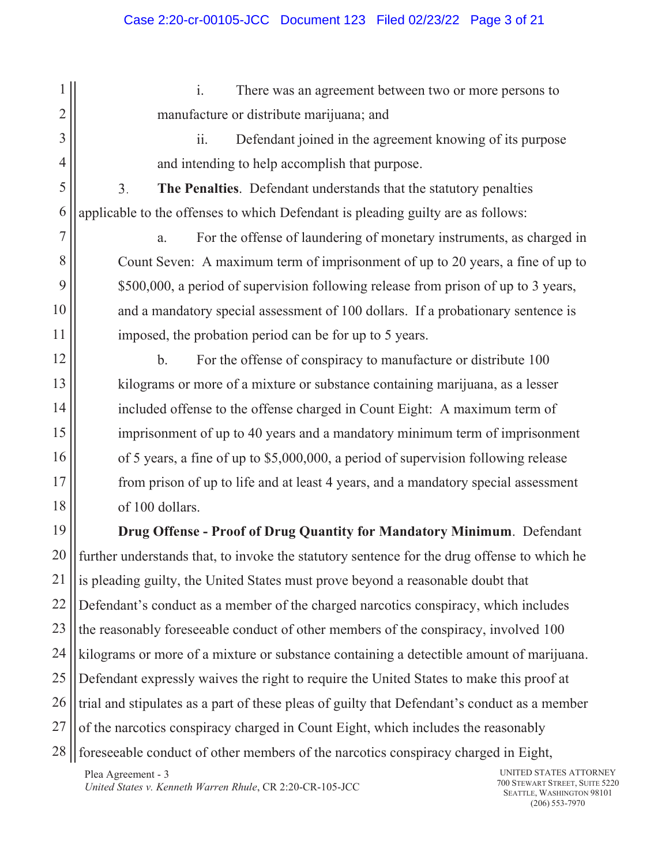1 i. There was an agreement between two or more persons to 2 manufacture or distribute marijuana; and 3 ii. Defendant joined in the agreement knowing of its purpose 4 and intending to help accomplish that purpose. 5  $3.$ **The Penalties**. Defendant understands that the statutory penalties 6 applicable to the offenses to which Defendant is pleading guilty are as follows: 7 a. For the offense of laundering of monetary instruments, as charged in 8 Count Seven: A maximum term of imprisonment of up to 20 years, a fine of up to 9 \$500,000, a period of supervision following release from prison of up to 3 years, 10 and a mandatory special assessment of 100 dollars. If a probationary sentence is 11 imposed, the probation period can be for up to 5 years. 12 b. For the offense of conspiracy to manufacture or distribute 100 13 kilograms or more of a mixture or substance containing marijuana, as a lesser 14 included offense to the offense charged in Count Eight: A maximum term of 15 imprisonment of up to 40 years and a mandatory minimum term of imprisonment 16 of 5 years, a fine of up to \$5,000,000, a period of supervision following release 17 from prison of up to life and at least 4 years, and a mandatory special assessment 18 of 100 dollars. 19 **Drug Offense - Proof of Drug Quantity for Mandatory Minimum**. Defendant 20 further understands that, to invoke the statutory sentence for the drug offense to which he 21 is pleading guilty, the United States must prove beyond a reasonable doubt that 22 Defendant's conduct as a member of the charged narcotics conspiracy, which includes 23 the reasonably foreseeable conduct of other members of the conspiracy, involved 100 24 kilograms or more of a mixture or substance containing a detectible amount of marijuana. 25 Defendant expressly waives the right to require the United States to make this proof at 26 trial and stipulates as a part of these pleas of guilty that Defendant's conduct as a member 27 of the narcotics conspiracy charged in Count Eight, which includes the reasonably

28 foreseeable conduct of other members of the narcotics conspiracy charged in Eight,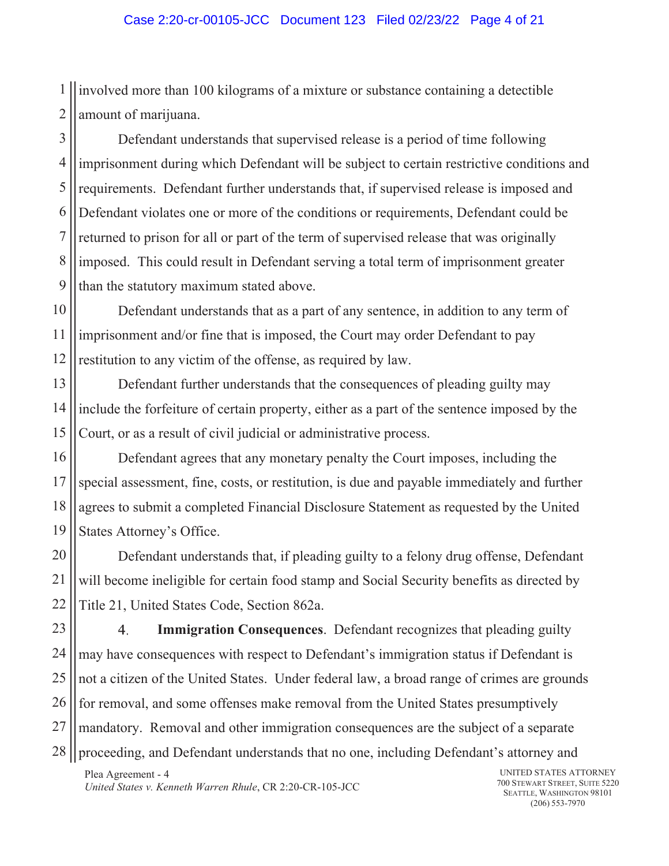1 2 involved more than 100 kilograms of a mixture or substance containing a detectible amount of marijuana.

3 4 5 6 7 8 9 Defendant understands that supervised release is a period of time following imprisonment during which Defendant will be subject to certain restrictive conditions and requirements. Defendant further understands that, if supervised release is imposed and Defendant violates one or more of the conditions or requirements, Defendant could be returned to prison for all or part of the term of supervised release that was originally imposed. This could result in Defendant serving a total term of imprisonment greater than the statutory maximum stated above.

10 Defendant understands that as a part of any sentence, in addition to any term of imprisonment and/or fine that is imposed, the Court may order Defendant to pay restitution to any victim of the offense, as required by law.

Defendant further understands that the consequences of pleading guilty may include the forfeiture of certain property, either as a part of the sentence imposed by the Court, or as a result of civil judicial or administrative process.

Defendant agrees that any monetary penalty the Court imposes, including the special assessment, fine, costs, or restitution, is due and payable immediately and further agrees to submit a completed Financial Disclosure Statement as requested by the United States Attorney's Office.

Defendant understands that, if pleading guilty to a felony drug offense, Defendant will become ineligible for certain food stamp and Social Security benefits as directed by Title 21, United States Code, Section 862a.

 $\overline{4}$ . **Immigration Consequences**. Defendant recognizes that pleading guilty may have consequences with respect to Defendant's immigration status if Defendant is not a citizen of the United States. Under federal law, a broad range of crimes are grounds for removal, and some offenses make removal from the United States presumptively mandatory. Removal and other immigration consequences are the subject of a separate proceeding, and Defendant understands that no one, including Defendant's attorney and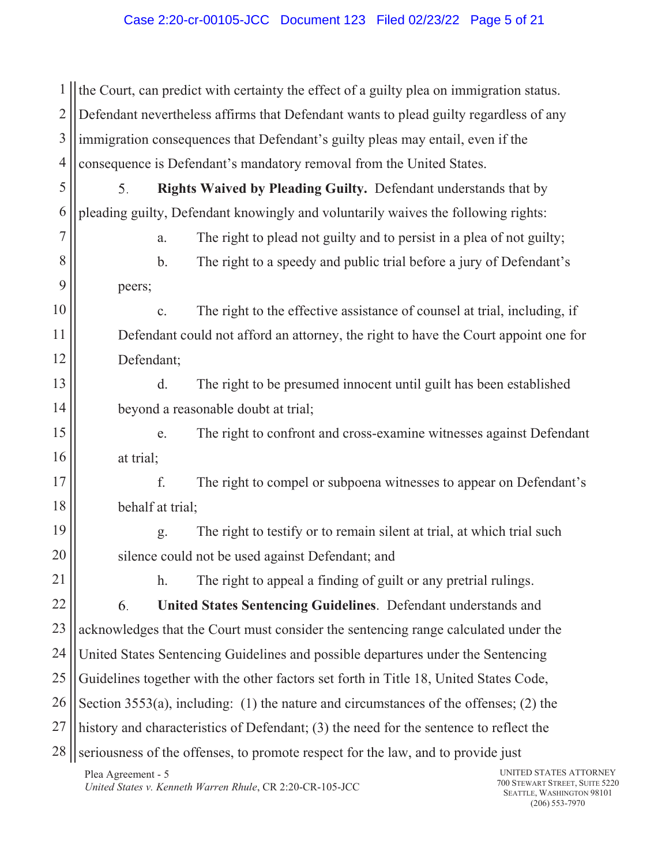1 2 3 4 the Court, can predict with certainty the effect of a guilty plea on immigration status. Defendant nevertheless affirms that Defendant wants to plead guilty regardless of any immigration consequences that Defendant's guilty pleas may entail, even if the consequence is Defendant's mandatory removal from the United States.

5. **Rights Waived by Pleading Guilty.** Defendant understands that by pleading guilty, Defendant knowingly and voluntarily waives the following rights:

7 8

5

6

9

10

11

12

13

14

15

16

17

18

19

20

21

a. The right to plead not guilty and to persist in a plea of not guilty;

b. The right to a speedy and public trial before a jury of Defendant's peers;

c. The right to the effective assistance of counsel at trial, including, if Defendant could not afford an attorney, the right to have the Court appoint one for Defendant;

d. The right to be presumed innocent until guilt has been established beyond a reasonable doubt at trial;

e. The right to confront and cross-examine witnesses against Defendant at trial;

f. The right to compel or subpoena witnesses to appear on Defendant's behalf at trial;

g. The right to testify or to remain silent at trial, at which trial such silence could not be used against Defendant; and

h. The right to appeal a finding of guilt or any pretrial rulings.

22 6. **United States Sentencing Guidelines**. Defendant understands and 23 acknowledges that the Court must consider the sentencing range calculated under the 24 United States Sentencing Guidelines and possible departures under the Sentencing 25 Guidelines together with the other factors set forth in Title 18, United States Code, 26 Section 3553(a), including: (1) the nature and circumstances of the offenses; (2) the 27 history and characteristics of Defendant; (3) the need for the sentence to reflect the 28 seriousness of the offenses, to promote respect for the law, and to provide just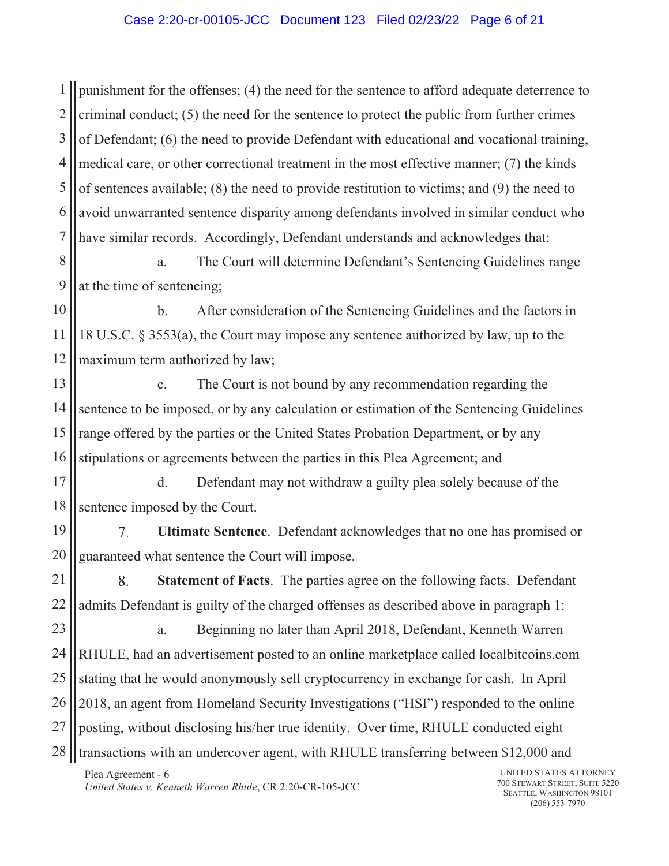1 2 3 4 5 6 7 punishment for the offenses; (4) the need for the sentence to afford adequate deterrence to criminal conduct; (5) the need for the sentence to protect the public from further crimes of Defendant; (6) the need to provide Defendant with educational and vocational training, medical care, or other correctional treatment in the most effective manner; (7) the kinds of sentences available; (8) the need to provide restitution to victims; and (9) the need to avoid unwarranted sentence disparity among defendants involved in similar conduct who have similar records. Accordingly, Defendant understands and acknowledges that:

8 9 a. The Court will determine Defendant's Sentencing Guidelines range at the time of sentencing;

10 11 12 b. After consideration of the Sentencing Guidelines and the factors in 18 U.S.C. § 3553(a), the Court may impose any sentence authorized by law, up to the maximum term authorized by law;

13 14 15 16 c. The Court is not bound by any recommendation regarding the sentence to be imposed, or by any calculation or estimation of the Sentencing Guidelines range offered by the parties or the United States Probation Department, or by any stipulations or agreements between the parties in this Plea Agreement; and

17 18 d. Defendant may not withdraw a guilty plea solely because of the sentence imposed by the Court.

19  $7.$ **Ultimate Sentence**. Defendant acknowledges that no one has promised or 20 guaranteed what sentence the Court will impose.

21 8. **Statement of Facts**. The parties agree on the following facts. Defendant 22 admits Defendant is guilty of the charged offenses as described above in paragraph 1:

23 24 25 26 27 28 a. Beginning no later than April 2018, Defendant, Kenneth Warren RHULE, had an advertisement posted to an online marketplace called localbitcoins.com stating that he would anonymously sell cryptocurrency in exchange for cash. In April 2018, an agent from Homeland Security Investigations ("HSI") responded to the online posting, without disclosing his/her true identity. Over time, RHULE conducted eight transactions with an undercover agent, with RHULE transferring between \$12,000 and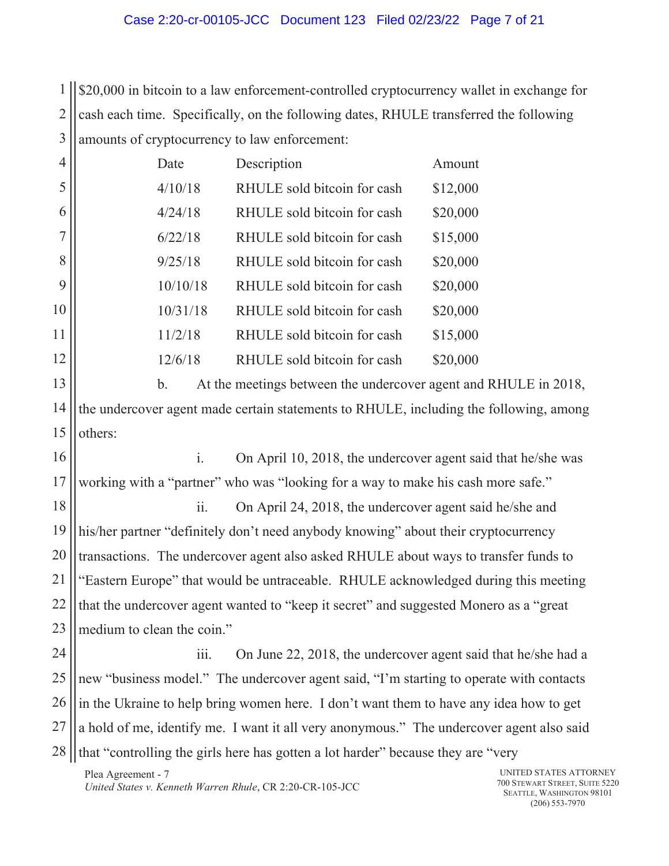1 2 3 \$20,000 in bitcoin to a law enforcement-controlled cryptocurrency wallet in exchange for cash each time. Specifically, on the following dates, RHULE transferred the following amounts of cryptocurrency to law enforcement:

| 4  | Date     | Description                 | Amount   |
|----|----------|-----------------------------|----------|
| 5  | 4/10/18  | RHULE sold bitcoin for cash | \$12,000 |
| 6  | 4/24/18  | RHULE sold bitcoin for cash | \$20,000 |
| 7  | 6/22/18  | RHULE sold bitcoin for cash | \$15,000 |
| 8  | 9/25/18  | RHULE sold bitcoin for cash | \$20,000 |
| 9  | 10/10/18 | RHULE sold bitcoin for cash | \$20,000 |
| 10 | 10/31/18 | RHULE sold bitcoin for cash | \$20,000 |
| 11 | 11/2/18  | RHULE sold bitcoin for cash | \$15,000 |
| 12 | 12/6/18  | RHULE sold bitcoin for cash | \$20,000 |

13 14 15 b. At the meetings between the undercover agent and RHULE in 2018, the undercover agent made certain statements to RHULE, including the following, among others:

16 17 i. On April 10, 2018, the undercover agent said that he/she was working with a "partner" who was "looking for a way to make his cash more safe."

18 19 20 21 22 23 ii. On April 24, 2018, the undercover agent said he/she and his/her partner "definitely don't need anybody knowing" about their cryptocurrency transactions. The undercover agent also asked RHULE about ways to transfer funds to "Eastern Europe" that would be untraceable. RHULE acknowledged during this meeting that the undercover agent wanted to "keep it secret" and suggested Monero as a "great medium to clean the coin."

24 25 26 27 28 iii. On June 22, 2018, the undercover agent said that he/she had a new "business model." The undercover agent said, "I'm starting to operate with contacts in the Ukraine to help bring women here. I don't want them to have any idea how to get a hold of me, identify me. I want it all very anonymous." The undercover agent also said that "controlling the girls here has gotten a lot harder" because they are "very

Plea Agreement - 7 *United States v. Kenneth Warren Rhule*, CR 2:20-CR-105-JCC

UNITED STATES ATTORNEY 700 STEWART STREET, SUITE 5220 SEATTLE, WASHINGTON 98101 (206) 553-7970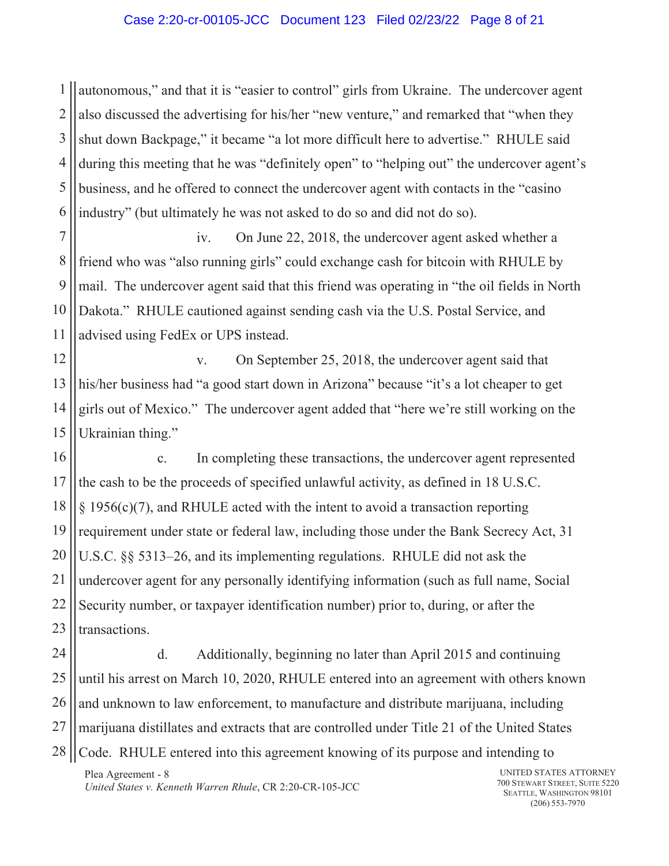## Case 2:20-cr-00105-JCC Document 123 Filed 02/23/22 Page 8 of 21

1 2 3 4 5 6 autonomous," and that it is "easier to control" girls from Ukraine. The undercover agent also discussed the advertising for his/her "new venture," and remarked that "when they shut down Backpage," it became "a lot more difficult here to advertise." RHULE said during this meeting that he was "definitely open" to "helping out" the undercover agent's business, and he offered to connect the undercover agent with contacts in the "casino industry" (but ultimately he was not asked to do so and did not do so).

7 8 9 10 11 iv. On June 22, 2018, the undercover agent asked whether a friend who was "also running girls" could exchange cash for bitcoin with RHULE by mail. The undercover agent said that this friend was operating in "the oil fields in North Dakota." RHULE cautioned against sending cash via the U.S. Postal Service, and advised using FedEx or UPS instead.

12 13 14 15 v. On September 25, 2018, the undercover agent said that his/her business had "a good start down in Arizona" because "it's a lot cheaper to get girls out of Mexico." The undercover agent added that "here we're still working on the Ukrainian thing."

16 17 18 19 20 21 22 23 c. In completing these transactions, the undercover agent represented the cash to be the proceeds of specified unlawful activity, as defined in 18 U.S.C. § 1956(c)(7), and RHULE acted with the intent to avoid a transaction reporting requirement under state or federal law, including those under the Bank Secrecy Act, 31 U.S.C. §§ 5313–26, and its implementing regulations. RHULE did not ask the undercover agent for any personally identifying information (such as full name, Social Security number, or taxpayer identification number) prior to, during, or after the transactions.

24 25 26 27 28 d. Additionally, beginning no later than April 2015 and continuing until his arrest on March 10, 2020, RHULE entered into an agreement with others known and unknown to law enforcement, to manufacture and distribute marijuana, including marijuana distillates and extracts that are controlled under Title 21 of the United States Code. RHULE entered into this agreement knowing of its purpose and intending to

Plea Agreement - 8 *United States v. Kenneth Warren Rhule*, CR 2:20-CR-105-JCC

UNITED STATES ATTORNEY 700 STEWART STREET, SUITE 5220 SEATTLE, WASHINGTON 98101 (206) 553-7970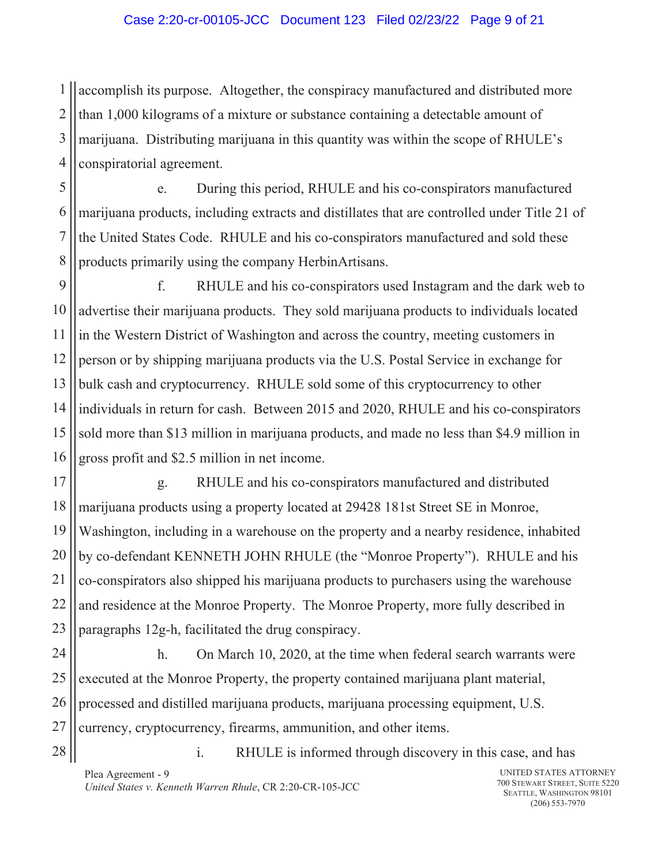## Case 2:20-cr-00105-JCC Document 123 Filed 02/23/22 Page 9 of 21

1 2 3 accomplish its purpose. Altogether, the conspiracy manufactured and distributed more than 1,000 kilograms of a mixture or substance containing a detectable amount of marijuana. Distributing marijuana in this quantity was within the scope of RHULE's conspiratorial agreement.

e. During this period, RHULE and his co-conspirators manufactured marijuana products, including extracts and distillates that are controlled under Title 21 of the United States Code. RHULE and his co-conspirators manufactured and sold these products primarily using the company HerbinArtisans.

f. RHULE and his co-conspirators used Instagram and the dark web to advertise their marijuana products. They sold marijuana products to individuals located in the Western District of Washington and across the country, meeting customers in person or by shipping marijuana products via the U.S. Postal Service in exchange for bulk cash and cryptocurrency. RHULE sold some of this cryptocurrency to other individuals in return for cash. Between 2015 and 2020, RHULE and his co-conspirators sold more than \$13 million in marijuana products, and made no less than \$4.9 million in gross profit and \$2.5 million in net income.

g. RHULE and his co-conspirators manufactured and distributed marijuana products using a property located at 29428 181st Street SE in Monroe, Washington, including in a warehouse on the property and a nearby residence, inhabited by co-defendant KENNETH JOHN RHULE (the "Monroe Property"). RHULE and his co-conspirators also shipped his marijuana products to purchasers using the warehouse and residence at the Monroe Property. The Monroe Property, more fully described in paragraphs 12g-h, facilitated the drug conspiracy.

h. On March 10, 2020, at the time when federal search warrants were executed at the Monroe Property, the property contained marijuana plant material, processed and distilled marijuana products, marijuana processing equipment, U.S. currency, cryptocurrency, firearms, ammunition, and other items.

i. RHULE is informed through discovery in this case, and has

Plea Agreement - 9 *United States v. Kenneth Warren Rhule*, CR 2:20-CR-105-JCC

UNITED STATES ATTORNEY 700 STEWART STREET, SUITE 5220 SEATTLE, WASHINGTON 98101 (206) 553-7970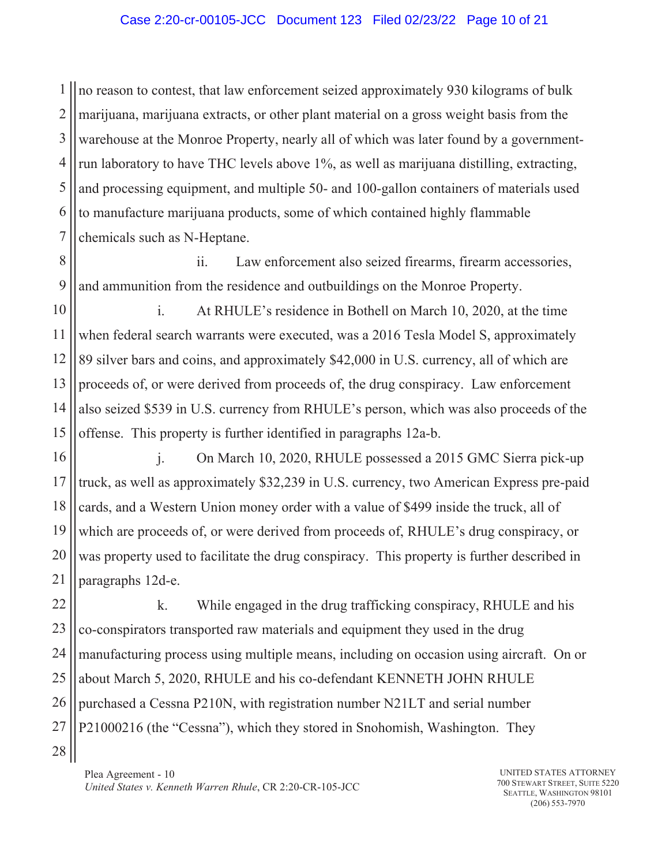1 2 3 no reason to contest, that law enforcement seized approximately 930 kilograms of bulk marijuana, marijuana extracts, or other plant material on a gross weight basis from the warehouse at the Monroe Property, nearly all of which was later found by a governmentrun laboratory to have THC levels above 1%, as well as marijuana distilling, extracting, and processing equipment, and multiple 50- and 100-gallon containers of materials used to manufacture marijuana products, some of which contained highly flammable chemicals such as N-Heptane.

ii. Law enforcement also seized firearms, firearm accessories, and ammunition from the residence and outbuildings on the Monroe Property.

i. At RHULE's residence in Bothell on March 10, 2020, at the time when federal search warrants were executed, was a 2016 Tesla Model S, approximately 89 silver bars and coins, and approximately \$42,000 in U.S. currency, all of which are proceeds of, or were derived from proceeds of, the drug conspiracy. Law enforcement also seized \$539 in U.S. currency from RHULE's person, which was also proceeds of the offense. This property is further identified in paragraphs 12a-b.

j. On March 10, 2020, RHULE possessed a 2015 GMC Sierra pick-up truck, as well as approximately \$32,239 in U.S. currency, two American Express pre-paid cards, and a Western Union money order with a value of \$499 inside the truck, all of which are proceeds of, or were derived from proceeds of, RHULE's drug conspiracy, or was property used to facilitate the drug conspiracy. This property is further described in paragraphs 12d-e.

k. While engaged in the drug trafficking conspiracy, RHULE and his co-conspirators transported raw materials and equipment they used in the drug manufacturing process using multiple means, including on occasion using aircraft. On or about March 5, 2020, RHULE and his co-defendant KENNETH JOHN RHULE purchased a Cessna P210N, with registration number N21LT and serial number P21000216 (the "Cessna"), which they stored in Snohomish, Washington. They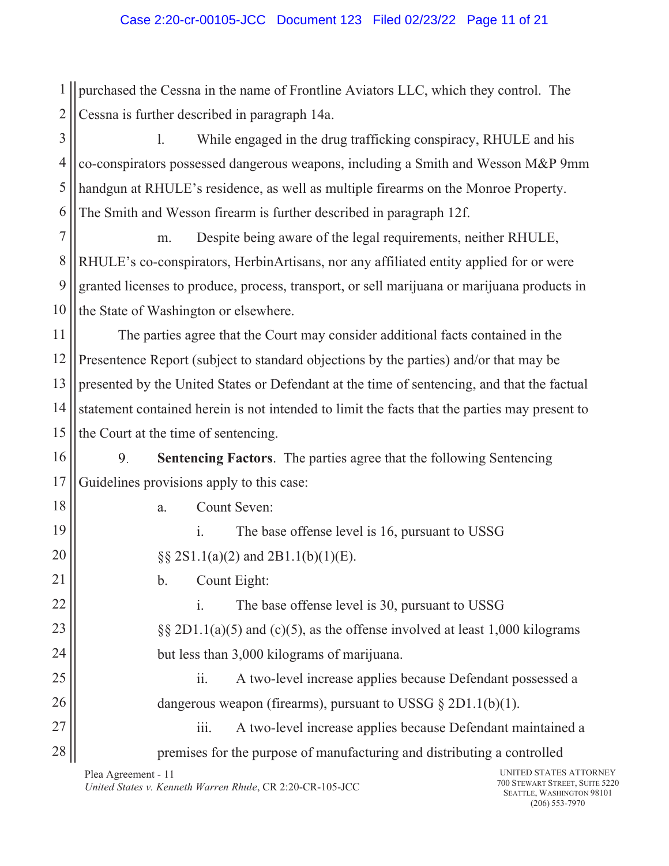1 2 purchased the Cessna in the name of Frontline Aviators LLC, which they control. The Cessna is further described in paragraph 14a.

3 4 5 6 l. While engaged in the drug trafficking conspiracy, RHULE and his co-conspirators possessed dangerous weapons, including a Smith and Wesson M&P 9mm handgun at RHULE's residence, as well as multiple firearms on the Monroe Property. The Smith and Wesson firearm is further described in paragraph 12f.

7 8 9 10 m. Despite being aware of the legal requirements, neither RHULE, RHULE's co-conspirators, HerbinArtisans, nor any affiliated entity applied for or were granted licenses to produce, process, transport, or sell marijuana or marijuana products in the State of Washington or elsewhere.

11 12 13 14 15 The parties agree that the Court may consider additional facts contained in the Presentence Report (subject to standard objections by the parties) and/or that may be presented by the United States or Defendant at the time of sentencing, and that the factual statement contained herein is not intended to limit the facts that the parties may present to the Court at the time of sentencing.

16 9. **Sentencing Factors**. The parties agree that the following Sentencing 17 Guidelines provisions apply to this case:

18 19

20

21

22

23

24

25

26

27

28

a. Count Seven:

i. The base offense level is 16, pursuant to USSG §§ 2S1.1(a)(2) and 2B1.1(b)(1)(E).

b. Count Eight:

i. The base offense level is 30, pursuant to USSG §§ 2D1.1(a)(5) and (c)(5), as the offense involved at least 1,000 kilograms but less than 3,000 kilograms of marijuana.

ii. A two-level increase applies because Defendant possessed a dangerous weapon (firearms), pursuant to USSG  $\S 2D1.1(b)(1)$ .

iii. A two-level increase applies because Defendant maintained a premises for the purpose of manufacturing and distributing a controlled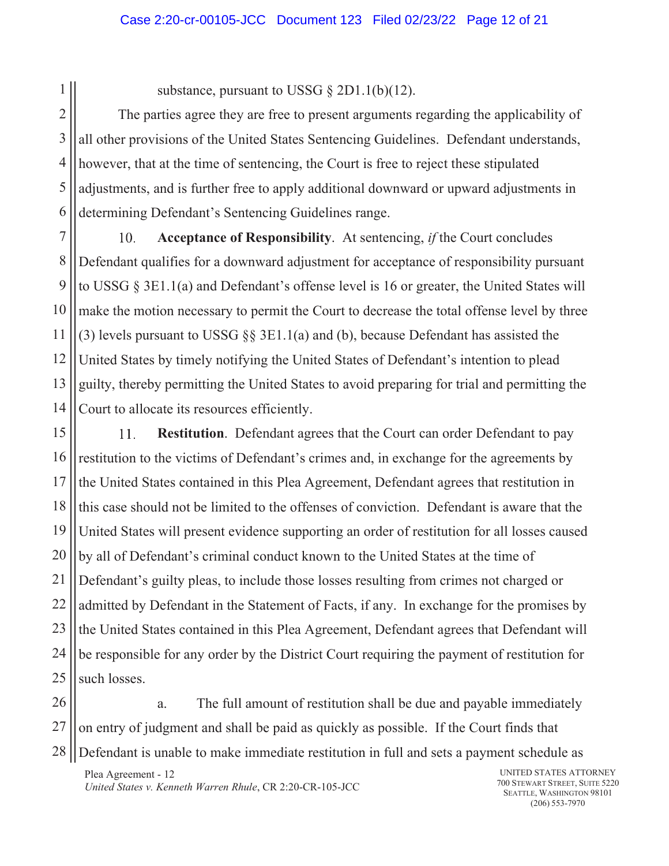substance, pursuant to USSG  $\S 2D1.1(b)(12)$ .

1

2

3

4

5

6

The parties agree they are free to present arguments regarding the applicability of all other provisions of the United States Sentencing Guidelines. Defendant understands, however, that at the time of sentencing, the Court is free to reject these stipulated adjustments, and is further free to apply additional downward or upward adjustments in determining Defendant's Sentencing Guidelines range.

7  $10<sub>1</sub>$ **Acceptance of Responsibility**. At sentencing, *if* the Court concludes 8 Defendant qualifies for a downward adjustment for acceptance of responsibility pursuant 9 to USSG § 3E1.1(a) and Defendant's offense level is 16 or greater, the United States will 10 make the motion necessary to permit the Court to decrease the total offense level by three 11 (3) levels pursuant to USSG §§ 3E1.1(a) and (b), because Defendant has assisted the 12 United States by timely notifying the United States of Defendant's intention to plead 13 guilty, thereby permitting the United States to avoid preparing for trial and permitting the 14 Court to allocate its resources efficiently.

15 11. **Restitution**. Defendant agrees that the Court can order Defendant to pay 16 restitution to the victims of Defendant's crimes and, in exchange for the agreements by 17 the United States contained in this Plea Agreement, Defendant agrees that restitution in 18 this case should not be limited to the offenses of conviction. Defendant is aware that the 19 United States will present evidence supporting an order of restitution for all losses caused 20 by all of Defendant's criminal conduct known to the United States at the time of 21 Defendant's guilty pleas, to include those losses resulting from crimes not charged or 22 admitted by Defendant in the Statement of Facts, if any. In exchange for the promises by 23 the United States contained in this Plea Agreement, Defendant agrees that Defendant will 24 be responsible for any order by the District Court requiring the payment of restitution for 25 such losses.

26 27 28 a. The full amount of restitution shall be due and payable immediately on entry of judgment and shall be paid as quickly as possible. If the Court finds that Defendant is unable to make immediate restitution in full and sets a payment schedule as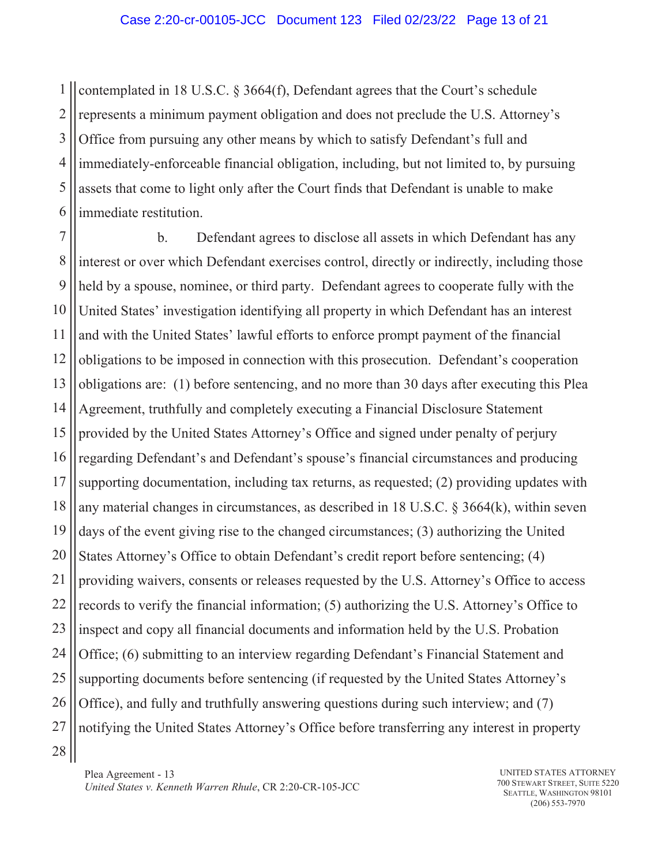1 2 3 4 5 6 contemplated in 18 U.S.C. § 3664(f), Defendant agrees that the Court's schedule represents a minimum payment obligation and does not preclude the U.S. Attorney's Office from pursuing any other means by which to satisfy Defendant's full and immediately-enforceable financial obligation, including, but not limited to, by pursuing assets that come to light only after the Court finds that Defendant is unable to make immediate restitution.

7 8 9 10 11 12 13 14 15 16 17 18 19 20 21 22 23 24 25 26 27 28 b. Defendant agrees to disclose all assets in which Defendant has any interest or over which Defendant exercises control, directly or indirectly, including those held by a spouse, nominee, or third party. Defendant agrees to cooperate fully with the United States' investigation identifying all property in which Defendant has an interest and with the United States' lawful efforts to enforce prompt payment of the financial obligations to be imposed in connection with this prosecution. Defendant's cooperation obligations are: (1) before sentencing, and no more than 30 days after executing this Plea Agreement, truthfully and completely executing a Financial Disclosure Statement provided by the United States Attorney's Office and signed under penalty of perjury regarding Defendant's and Defendant's spouse's financial circumstances and producing supporting documentation, including tax returns, as requested; (2) providing updates with any material changes in circumstances, as described in 18 U.S.C. § 3664(k), within seven days of the event giving rise to the changed circumstances; (3) authorizing the United States Attorney's Office to obtain Defendant's credit report before sentencing; (4) providing waivers, consents or releases requested by the U.S. Attorney's Office to access records to verify the financial information; (5) authorizing the U.S. Attorney's Office to inspect and copy all financial documents and information held by the U.S. Probation Office; (6) submitting to an interview regarding Defendant's Financial Statement and supporting documents before sentencing (if requested by the United States Attorney's Office), and fully and truthfully answering questions during such interview; and (7) notifying the United States Attorney's Office before transferring any interest in property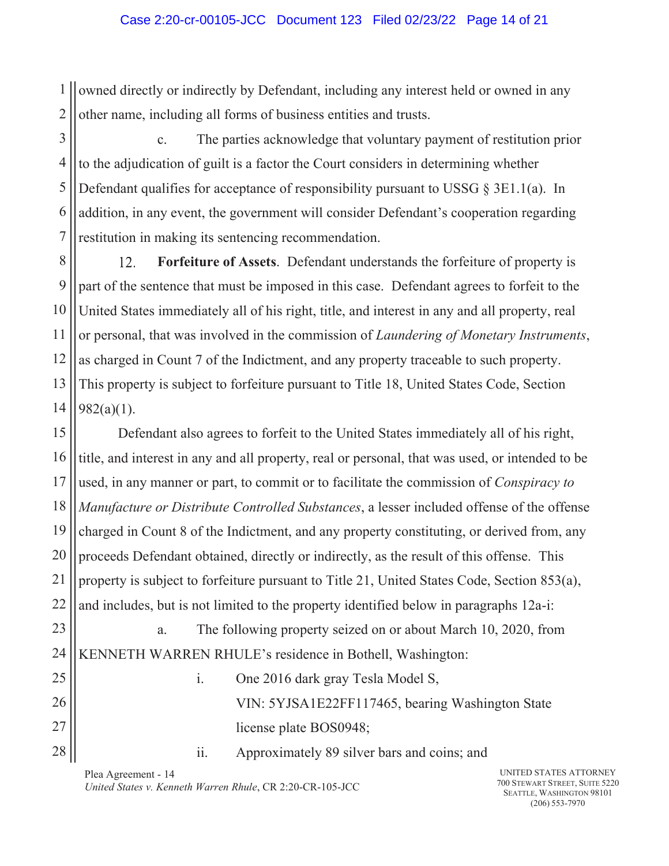1 2 owned directly or indirectly by Defendant, including any interest held or owned in any other name, including all forms of business entities and trusts.

3 4 5 6 7 c. The parties acknowledge that voluntary payment of restitution prior to the adjudication of guilt is a factor the Court considers in determining whether Defendant qualifies for acceptance of responsibility pursuant to USSG  $\S 3E1.1(a)$ . In addition, in any event, the government will consider Defendant's cooperation regarding restitution in making its sentencing recommendation.

8 12. **Forfeiture of Assets**. Defendant understands the forfeiture of property is 9 part of the sentence that must be imposed in this case. Defendant agrees to forfeit to the 10 United States immediately all of his right, title, and interest in any and all property, real 11 or personal, that was involved in the commission of *Laundering of Monetary Instruments*, as charged in Count 7 of the Indictment, and any property traceable to such property. 12 13 This property is subject to forfeiture pursuant to Title 18, United States Code, Section  $982(a)(1)$ . 14

15 16 17 18 19 20 21 22 Defendant also agrees to forfeit to the United States immediately all of his right, title, and interest in any and all property, real or personal, that was used, or intended to be used, in any manner or part, to commit or to facilitate the commission of *Conspiracy to Manufacture or Distribute Controlled Substances*, a lesser included offense of the offense charged in Count 8 of the Indictment, and any property constituting, or derived from, any proceeds Defendant obtained, directly or indirectly, as the result of this offense. This property is subject to forfeiture pursuant to Title 21, United States Code, Section 853(a), and includes, but is not limited to the property identified below in paragraphs 12a-i:

a. The following property seized on or about March 10, 2020, from KENNETH WARREN RHULE's residence in Bothell, Washington:

23

i. One 2016 dark gray Tesla Model S, VIN: 5YJSA1E22FF117465, bearing Washington State license plate BOS0948;

ii. Approximately 89 silver bars and coins; and

Plea Agreement - 14 *United States v. Kenneth Warren Rhule*, CR 2:20-CR-105-JCC

UNITED STATES ATTORNEY 700 STEWART STREET, SUITE 5220 SEATTLE, WASHINGTON 98101 (206) 553-7970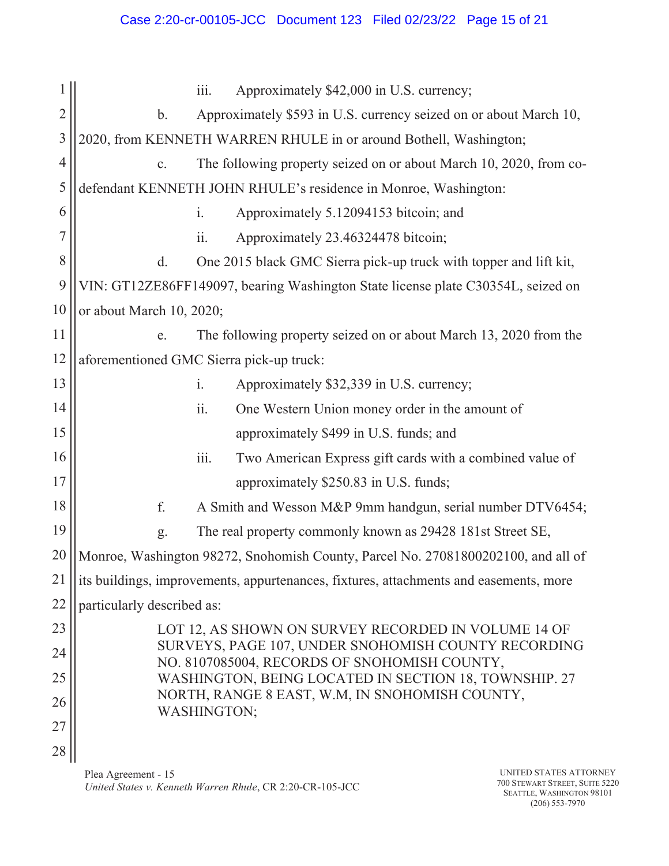## Case 2:20-cr-00105-JCC Document 123 Filed 02/23/22 Page 15 of 21

| Approximately \$42,000 in U.S. currency;<br>iii.<br>$\overline{2}$<br>Approximately \$593 in U.S. currency seized on or about March 10,<br>$\mathbf{b}$ .<br>3<br>2020, from KENNETH WARREN RHULE in or around Bothell, Washington;<br>$\overline{4}$<br>The following property seized on or about March 10, 2020, from co-<br>c.<br>5<br>defendant KENNETH JOHN RHULE's residence in Monroe, Washington:<br>6<br>Approximately 5.12094153 bitcoin; and<br>$\mathbf{i}$ .<br>7<br>Approximately 23.46324478 bitcoin;<br>$\overline{11}$ .<br>8<br>d.<br>One 2015 black GMC Sierra pick-up truck with topper and lift kit,<br>9<br>VIN: GT12ZE86FF149097, bearing Washington State license plate C30354L, seized on<br>10<br>or about March 10, 2020;<br>11<br>The following property seized on or about March 13, 2020 from the<br>e.<br>12<br>aforementioned GMC Sierra pick-up truck:<br>13<br>Approximately \$32,339 in U.S. currency;<br>$\mathbf{i}$ .<br>14<br>ii.<br>One Western Union money order in the amount of<br>15<br>approximately \$499 in U.S. funds; and<br>16<br>$\overline{111}$ .<br>Two American Express gift cards with a combined value of<br>17<br>approximately \$250.83 in U.S. funds;<br>18<br>f.<br>A Smith and Wesson M&P 9mm handgun, serial number DTV6454;<br>19<br>The real property commonly known as 29428 181st Street SE,<br>g.<br>20<br>Monroe, Washington 98272, Snohomish County, Parcel No. 27081800202100, and all of<br>its buildings, improvements, appurtenances, fixtures, attachments and easements, more<br>particularly described as:<br>23<br>LOT 12, AS SHOWN ON SURVEY RECORDED IN VOLUME 14 OF<br>SURVEYS, PAGE 107, UNDER SNOHOMISH COUNTY RECORDING<br>NO. 8107085004, RECORDS OF SNOHOMISH COUNTY,<br>25<br>WASHINGTON, BEING LOCATED IN SECTION 18, TOWNSHIP. 27<br>NORTH, RANGE 8 EAST, W.M, IN SNOHOMISH COUNTY,<br>26<br>WASHINGTON;<br>27<br>28 |    |  |  |  |  |  |
|---------------------------------------------------------------------------------------------------------------------------------------------------------------------------------------------------------------------------------------------------------------------------------------------------------------------------------------------------------------------------------------------------------------------------------------------------------------------------------------------------------------------------------------------------------------------------------------------------------------------------------------------------------------------------------------------------------------------------------------------------------------------------------------------------------------------------------------------------------------------------------------------------------------------------------------------------------------------------------------------------------------------------------------------------------------------------------------------------------------------------------------------------------------------------------------------------------------------------------------------------------------------------------------------------------------------------------------------------------------------------------------------------------------------------------------------------------------------------------------------------------------------------------------------------------------------------------------------------------------------------------------------------------------------------------------------------------------------------------------------------------------------------------------------------------------------------------------------------------------------------------------------------------------|----|--|--|--|--|--|
|                                                                                                                                                                                                                                                                                                                                                                                                                                                                                                                                                                                                                                                                                                                                                                                                                                                                                                                                                                                                                                                                                                                                                                                                                                                                                                                                                                                                                                                                                                                                                                                                                                                                                                                                                                                                                                                                                                               |    |  |  |  |  |  |
|                                                                                                                                                                                                                                                                                                                                                                                                                                                                                                                                                                                                                                                                                                                                                                                                                                                                                                                                                                                                                                                                                                                                                                                                                                                                                                                                                                                                                                                                                                                                                                                                                                                                                                                                                                                                                                                                                                               |    |  |  |  |  |  |
|                                                                                                                                                                                                                                                                                                                                                                                                                                                                                                                                                                                                                                                                                                                                                                                                                                                                                                                                                                                                                                                                                                                                                                                                                                                                                                                                                                                                                                                                                                                                                                                                                                                                                                                                                                                                                                                                                                               |    |  |  |  |  |  |
|                                                                                                                                                                                                                                                                                                                                                                                                                                                                                                                                                                                                                                                                                                                                                                                                                                                                                                                                                                                                                                                                                                                                                                                                                                                                                                                                                                                                                                                                                                                                                                                                                                                                                                                                                                                                                                                                                                               |    |  |  |  |  |  |
|                                                                                                                                                                                                                                                                                                                                                                                                                                                                                                                                                                                                                                                                                                                                                                                                                                                                                                                                                                                                                                                                                                                                                                                                                                                                                                                                                                                                                                                                                                                                                                                                                                                                                                                                                                                                                                                                                                               |    |  |  |  |  |  |
|                                                                                                                                                                                                                                                                                                                                                                                                                                                                                                                                                                                                                                                                                                                                                                                                                                                                                                                                                                                                                                                                                                                                                                                                                                                                                                                                                                                                                                                                                                                                                                                                                                                                                                                                                                                                                                                                                                               |    |  |  |  |  |  |
|                                                                                                                                                                                                                                                                                                                                                                                                                                                                                                                                                                                                                                                                                                                                                                                                                                                                                                                                                                                                                                                                                                                                                                                                                                                                                                                                                                                                                                                                                                                                                                                                                                                                                                                                                                                                                                                                                                               |    |  |  |  |  |  |
|                                                                                                                                                                                                                                                                                                                                                                                                                                                                                                                                                                                                                                                                                                                                                                                                                                                                                                                                                                                                                                                                                                                                                                                                                                                                                                                                                                                                                                                                                                                                                                                                                                                                                                                                                                                                                                                                                                               |    |  |  |  |  |  |
|                                                                                                                                                                                                                                                                                                                                                                                                                                                                                                                                                                                                                                                                                                                                                                                                                                                                                                                                                                                                                                                                                                                                                                                                                                                                                                                                                                                                                                                                                                                                                                                                                                                                                                                                                                                                                                                                                                               |    |  |  |  |  |  |
|                                                                                                                                                                                                                                                                                                                                                                                                                                                                                                                                                                                                                                                                                                                                                                                                                                                                                                                                                                                                                                                                                                                                                                                                                                                                                                                                                                                                                                                                                                                                                                                                                                                                                                                                                                                                                                                                                                               |    |  |  |  |  |  |
|                                                                                                                                                                                                                                                                                                                                                                                                                                                                                                                                                                                                                                                                                                                                                                                                                                                                                                                                                                                                                                                                                                                                                                                                                                                                                                                                                                                                                                                                                                                                                                                                                                                                                                                                                                                                                                                                                                               |    |  |  |  |  |  |
|                                                                                                                                                                                                                                                                                                                                                                                                                                                                                                                                                                                                                                                                                                                                                                                                                                                                                                                                                                                                                                                                                                                                                                                                                                                                                                                                                                                                                                                                                                                                                                                                                                                                                                                                                                                                                                                                                                               |    |  |  |  |  |  |
|                                                                                                                                                                                                                                                                                                                                                                                                                                                                                                                                                                                                                                                                                                                                                                                                                                                                                                                                                                                                                                                                                                                                                                                                                                                                                                                                                                                                                                                                                                                                                                                                                                                                                                                                                                                                                                                                                                               |    |  |  |  |  |  |
|                                                                                                                                                                                                                                                                                                                                                                                                                                                                                                                                                                                                                                                                                                                                                                                                                                                                                                                                                                                                                                                                                                                                                                                                                                                                                                                                                                                                                                                                                                                                                                                                                                                                                                                                                                                                                                                                                                               |    |  |  |  |  |  |
|                                                                                                                                                                                                                                                                                                                                                                                                                                                                                                                                                                                                                                                                                                                                                                                                                                                                                                                                                                                                                                                                                                                                                                                                                                                                                                                                                                                                                                                                                                                                                                                                                                                                                                                                                                                                                                                                                                               |    |  |  |  |  |  |
|                                                                                                                                                                                                                                                                                                                                                                                                                                                                                                                                                                                                                                                                                                                                                                                                                                                                                                                                                                                                                                                                                                                                                                                                                                                                                                                                                                                                                                                                                                                                                                                                                                                                                                                                                                                                                                                                                                               |    |  |  |  |  |  |
|                                                                                                                                                                                                                                                                                                                                                                                                                                                                                                                                                                                                                                                                                                                                                                                                                                                                                                                                                                                                                                                                                                                                                                                                                                                                                                                                                                                                                                                                                                                                                                                                                                                                                                                                                                                                                                                                                                               |    |  |  |  |  |  |
|                                                                                                                                                                                                                                                                                                                                                                                                                                                                                                                                                                                                                                                                                                                                                                                                                                                                                                                                                                                                                                                                                                                                                                                                                                                                                                                                                                                                                                                                                                                                                                                                                                                                                                                                                                                                                                                                                                               |    |  |  |  |  |  |
|                                                                                                                                                                                                                                                                                                                                                                                                                                                                                                                                                                                                                                                                                                                                                                                                                                                                                                                                                                                                                                                                                                                                                                                                                                                                                                                                                                                                                                                                                                                                                                                                                                                                                                                                                                                                                                                                                                               |    |  |  |  |  |  |
|                                                                                                                                                                                                                                                                                                                                                                                                                                                                                                                                                                                                                                                                                                                                                                                                                                                                                                                                                                                                                                                                                                                                                                                                                                                                                                                                                                                                                                                                                                                                                                                                                                                                                                                                                                                                                                                                                                               |    |  |  |  |  |  |
|                                                                                                                                                                                                                                                                                                                                                                                                                                                                                                                                                                                                                                                                                                                                                                                                                                                                                                                                                                                                                                                                                                                                                                                                                                                                                                                                                                                                                                                                                                                                                                                                                                                                                                                                                                                                                                                                                                               | 21 |  |  |  |  |  |
|                                                                                                                                                                                                                                                                                                                                                                                                                                                                                                                                                                                                                                                                                                                                                                                                                                                                                                                                                                                                                                                                                                                                                                                                                                                                                                                                                                                                                                                                                                                                                                                                                                                                                                                                                                                                                                                                                                               | 22 |  |  |  |  |  |
|                                                                                                                                                                                                                                                                                                                                                                                                                                                                                                                                                                                                                                                                                                                                                                                                                                                                                                                                                                                                                                                                                                                                                                                                                                                                                                                                                                                                                                                                                                                                                                                                                                                                                                                                                                                                                                                                                                               |    |  |  |  |  |  |
|                                                                                                                                                                                                                                                                                                                                                                                                                                                                                                                                                                                                                                                                                                                                                                                                                                                                                                                                                                                                                                                                                                                                                                                                                                                                                                                                                                                                                                                                                                                                                                                                                                                                                                                                                                                                                                                                                                               | 24 |  |  |  |  |  |
|                                                                                                                                                                                                                                                                                                                                                                                                                                                                                                                                                                                                                                                                                                                                                                                                                                                                                                                                                                                                                                                                                                                                                                                                                                                                                                                                                                                                                                                                                                                                                                                                                                                                                                                                                                                                                                                                                                               |    |  |  |  |  |  |
|                                                                                                                                                                                                                                                                                                                                                                                                                                                                                                                                                                                                                                                                                                                                                                                                                                                                                                                                                                                                                                                                                                                                                                                                                                                                                                                                                                                                                                                                                                                                                                                                                                                                                                                                                                                                                                                                                                               |    |  |  |  |  |  |
|                                                                                                                                                                                                                                                                                                                                                                                                                                                                                                                                                                                                                                                                                                                                                                                                                                                                                                                                                                                                                                                                                                                                                                                                                                                                                                                                                                                                                                                                                                                                                                                                                                                                                                                                                                                                                                                                                                               |    |  |  |  |  |  |
|                                                                                                                                                                                                                                                                                                                                                                                                                                                                                                                                                                                                                                                                                                                                                                                                                                                                                                                                                                                                                                                                                                                                                                                                                                                                                                                                                                                                                                                                                                                                                                                                                                                                                                                                                                                                                                                                                                               |    |  |  |  |  |  |

Plea Agreement - 15 *United States v. Kenneth Warren Rhule*, CR 2:20-CR-105-JCC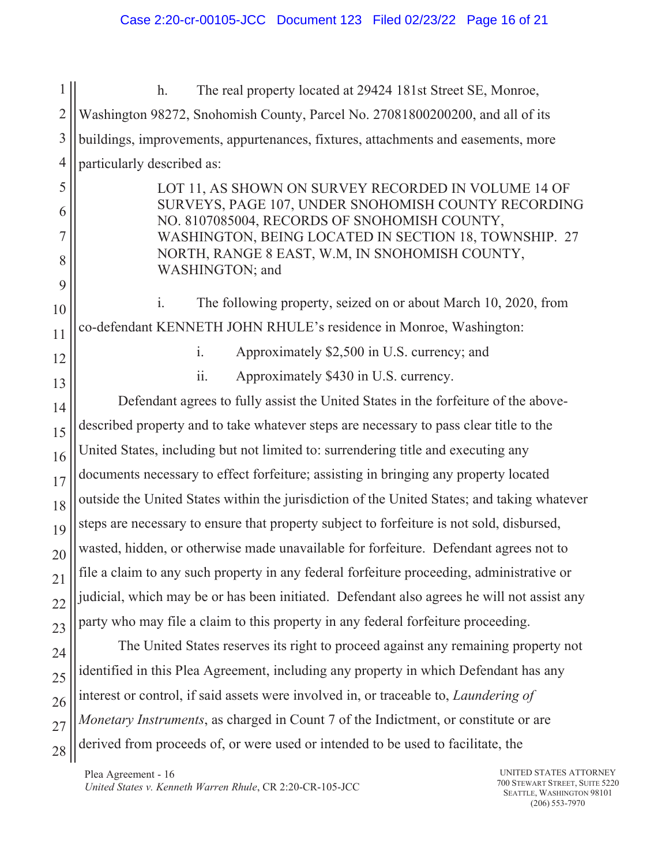1 2 3 4 5 6 7 8 9 10 11 12 13 14 15 16 17 18 19 20 21  $22$ 23 24 25 26 27 h. The real property located at 29424 181st Street SE, Monroe, Washington 98272, Snohomish County, Parcel No. 27081800200200, and all of its buildings, improvements, appurtenances, fixtures, attachments and easements, more particularly described as: LOT 11, AS SHOWN ON SURVEY RECORDED IN VOLUME 14 OF SURVEYS, PAGE 107, UNDER SNOHOMISH COUNTY RECORDING NO. 8107085004, RECORDS OF SNOHOMISH COUNTY, WASHINGTON, BEING LOCATED IN SECTION 18, TOWNSHIP. 27 NORTH, RANGE 8 EAST, W.M, IN SNOHOMISH COUNTY, WASHINGTON; and i. The following property, seized on or about March 10, 2020, from co-defendant KENNETH JOHN RHULE's residence in Monroe, Washington: i. Approximately \$2,500 in U.S. currency; and ii. Approximately \$430 in U.S. currency. Defendant agrees to fully assist the United States in the forfeiture of the abovedescribed property and to take whatever steps are necessary to pass clear title to the United States, including but not limited to: surrendering title and executing any documents necessary to effect forfeiture; assisting in bringing any property located outside the United States within the jurisdiction of the United States; and taking whatever steps are necessary to ensure that property subject to forfeiture is not sold, disbursed, wasted, hidden, or otherwise made unavailable for forfeiture. Defendant agrees not to file a claim to any such property in any federal forfeiture proceeding, administrative or judicial, which may be or has been initiated. Defendant also agrees he will not assist any party who may file a claim to this property in any federal forfeiture proceeding. The United States reserves its right to proceed against any remaining property not identified in this Plea Agreement, including any property in which Defendant has any interest or control, if said assets were involved in, or traceable to, *Laundering of Monetary Instruments*, as charged in Count 7 of the Indictment, or constitute or are derived from proceeds of, or were used or intended to be used to facilitate, the

28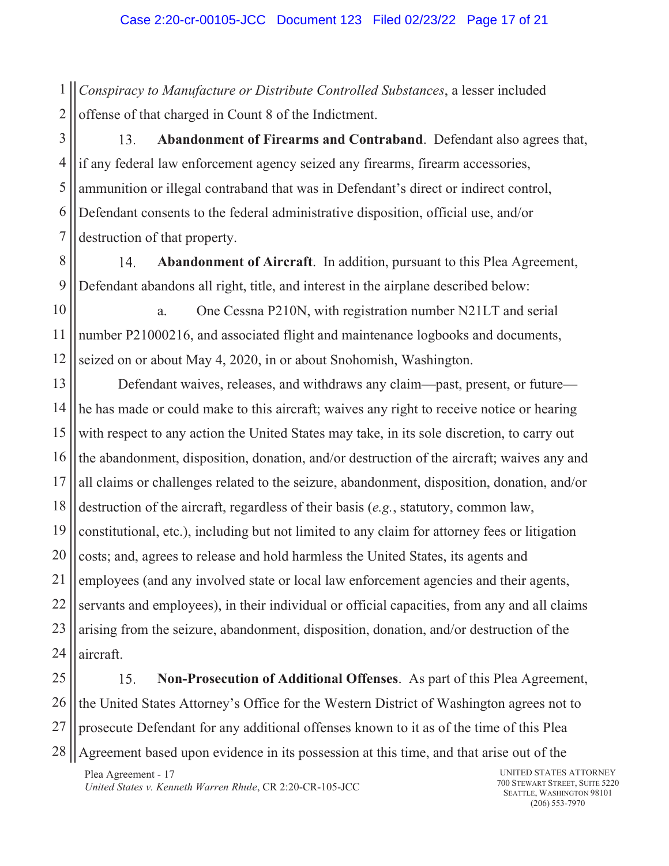1 2 *Conspiracy to Manufacture or Distribute Controlled Substances*, a lesser included offense of that charged in Count 8 of the Indictment.

3 13. **Abandonment of Firearms and Contraband**. Defendant also agrees that, 4 if any federal law enforcement agency seized any firearms, firearm accessories, 5 ammunition or illegal contraband that was in Defendant's direct or indirect control, 6 Defendant consents to the federal administrative disposition, official use, and/or 7 destruction of that property.

14. **Abandonment of Aircraft**. In addition, pursuant to this Plea Agreement, Defendant abandons all right, title, and interest in the airplane described below:

10 11 12 a. One Cessna P210N, with registration number N21LT and serial number P21000216, and associated flight and maintenance logbooks and documents, seized on or about May 4, 2020, in or about Snohomish, Washington.

13 14 15 16 17 18 19 20 21 22 23 Defendant waives, releases, and withdraws any claim—past, present, or future he has made or could make to this aircraft; waives any right to receive notice or hearing with respect to any action the United States may take, in its sole discretion, to carry out the abandonment, disposition, donation, and/or destruction of the aircraft; waives any and all claims or challenges related to the seizure, abandonment, disposition, donation, and/or destruction of the aircraft, regardless of their basis (*e.g.*, statutory, common law, constitutional, etc.), including but not limited to any claim for attorney fees or litigation costs; and, agrees to release and hold harmless the United States, its agents and employees (and any involved state or local law enforcement agencies and their agents, servants and employees), in their individual or official capacities, from any and all claims arising from the seizure, abandonment, disposition, donation, and/or destruction of the aircraft.

28

8

9

**Non-Prosecution of Additional Offenses**. As part of this Plea Agreement,  $15.$ the United States Attorney's Office for the Western District of Washington agrees not to prosecute Defendant for any additional offenses known to it as of the time of this Plea Agreement based upon evidence in its possession at this time, and that arise out of the

Plea Agreement - 17 *United States v. Kenneth Warren Rhule*, CR 2:20-CR-105-JCC

UNITED STATES ATTORNEY 700 STEWART STREET, SUITE 5220 SEATTLE, WASHINGTON 98101 (206) 553-7970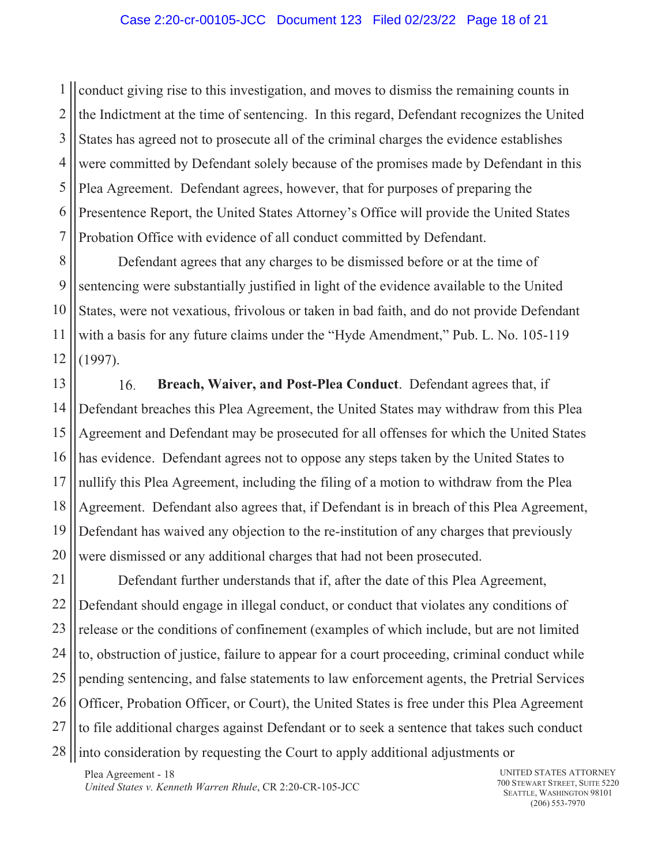1 2 3 4 conduct giving rise to this investigation, and moves to dismiss the remaining counts in the Indictment at the time of sentencing. In this regard, Defendant recognizes the United States has agreed not to prosecute all of the criminal charges the evidence establishes were committed by Defendant solely because of the promises made by Defendant in this Plea Agreement. Defendant agrees, however, that for purposes of preparing the Presentence Report, the United States Attorney's Office will provide the United States Probation Office with evidence of all conduct committed by Defendant.

Defendant agrees that any charges to be dismissed before or at the time of sentencing were substantially justified in light of the evidence available to the United States, were not vexatious, frivolous or taken in bad faith, and do not provide Defendant with a basis for any future claims under the "Hyde Amendment," Pub. L. No. 105-119 (1997).

16. **Breach, Waiver, and Post-Plea Conduct**. Defendant agrees that, if Defendant breaches this Plea Agreement, the United States may withdraw from this Plea Agreement and Defendant may be prosecuted for all offenses for which the United States has evidence. Defendant agrees not to oppose any steps taken by the United States to nullify this Plea Agreement, including the filing of a motion to withdraw from the Plea Agreement. Defendant also agrees that, if Defendant is in breach of this Plea Agreement, Defendant has waived any objection to the re-institution of any charges that previously were dismissed or any additional charges that had not been prosecuted.

Defendant further understands that if, after the date of this Plea Agreement, Defendant should engage in illegal conduct, or conduct that violates any conditions of release or the conditions of confinement (examples of which include, but are not limited to, obstruction of justice, failure to appear for a court proceeding, criminal conduct while pending sentencing, and false statements to law enforcement agents, the Pretrial Services Officer, Probation Officer, or Court), the United States is free under this Plea Agreement to file additional charges against Defendant or to seek a sentence that takes such conduct into consideration by requesting the Court to apply additional adjustments or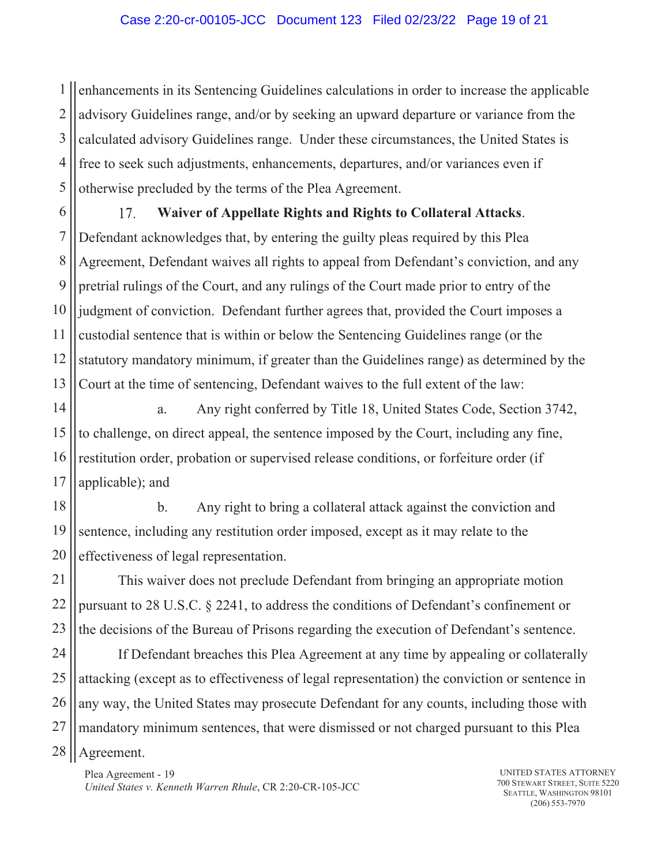1 2 3 enhancements in its Sentencing Guidelines calculations in order to increase the applicable advisory Guidelines range, and/or by seeking an upward departure or variance from the calculated advisory Guidelines range. Under these circumstances, the United States is free to seek such adjustments, enhancements, departures, and/or variances even if otherwise precluded by the terms of the Plea Agreement.

 $17.$ **Waiver of Appellate Rights and Rights to Collateral Attacks**. Defendant acknowledges that, by entering the guilty pleas required by this Plea Agreement, Defendant waives all rights to appeal from Defendant's conviction, and any pretrial rulings of the Court, and any rulings of the Court made prior to entry of the judgment of conviction. Defendant further agrees that, provided the Court imposes a custodial sentence that is within or below the Sentencing Guidelines range (or the statutory mandatory minimum, if greater than the Guidelines range) as determined by the Court at the time of sentencing, Defendant waives to the full extent of the law:

a. Any right conferred by Title 18, United States Code, Section 3742, to challenge, on direct appeal, the sentence imposed by the Court, including any fine, restitution order, probation or supervised release conditions, or forfeiture order (if applicable); and

b. Any right to bring a collateral attack against the conviction and sentence, including any restitution order imposed, except as it may relate to the effectiveness of legal representation.

This waiver does not preclude Defendant from bringing an appropriate motion pursuant to 28 U.S.C. § 2241, to address the conditions of Defendant's confinement or the decisions of the Bureau of Prisons regarding the execution of Defendant's sentence.

If Defendant breaches this Plea Agreement at any time by appealing or collaterally attacking (except as to effectiveness of legal representation) the conviction or sentence in any way, the United States may prosecute Defendant for any counts, including those with mandatory minimum sentences, that were dismissed or not charged pursuant to this Plea Agreement.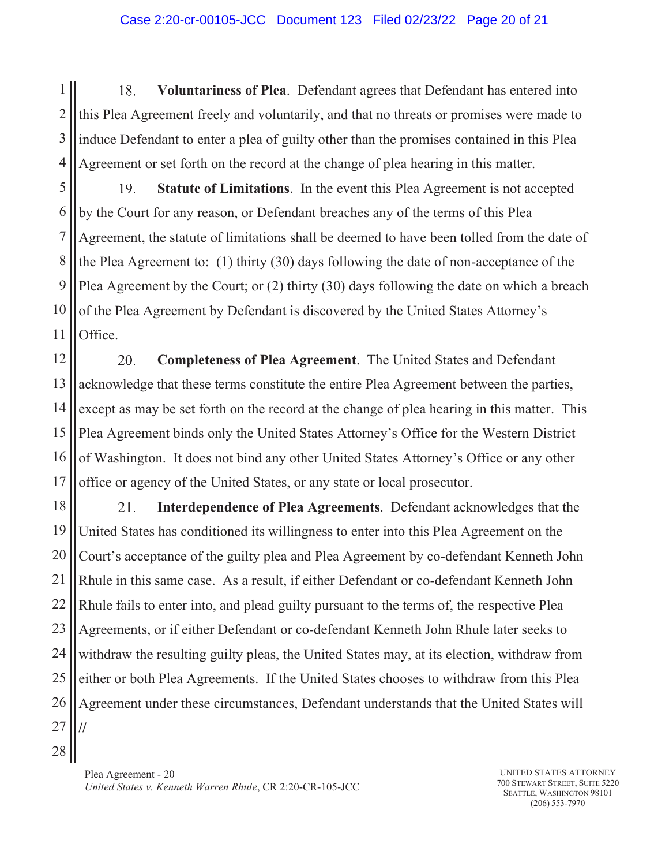1 18. **Voluntariness of Plea**. Defendant agrees that Defendant has entered into 2 this Plea Agreement freely and voluntarily, and that no threats or promises were made to induce Defendant to enter a plea of guilty other than the promises contained in this Plea Agreement or set forth on the record at the change of plea hearing in this matter.

19. **Statute of Limitations**. In the event this Plea Agreement is not accepted by the Court for any reason, or Defendant breaches any of the terms of this Plea Agreement, the statute of limitations shall be deemed to have been tolled from the date of the Plea Agreement to: (1) thirty (30) days following the date of non-acceptance of the Plea Agreement by the Court; or (2) thirty (30) days following the date on which a breach of the Plea Agreement by Defendant is discovered by the United States Attorney's Office.

20. **Completeness of Plea Agreement**. The United States and Defendant acknowledge that these terms constitute the entire Plea Agreement between the parties, except as may be set forth on the record at the change of plea hearing in this matter. This Plea Agreement binds only the United States Attorney's Office for the Western District of Washington. It does not bind any other United States Attorney's Office or any other office or agency of the United States, or any state or local prosecutor.

 $21.$ **Interdependence of Plea Agreements**. Defendant acknowledges that the United States has conditioned its willingness to enter into this Plea Agreement on the Court's acceptance of the guilty plea and Plea Agreement by co-defendant Kenneth John Rhule in this same case. As a result, if either Defendant or co-defendant Kenneth John Rhule fails to enter into, and plead guilty pursuant to the terms of, the respective Plea Agreements, or if either Defendant or co-defendant Kenneth John Rhule later seeks to withdraw the resulting guilty pleas, the United States may, at its election, withdraw from either or both Plea Agreements. If the United States chooses to withdraw from this Plea Agreement under these circumstances, Defendant understands that the United States will **//**